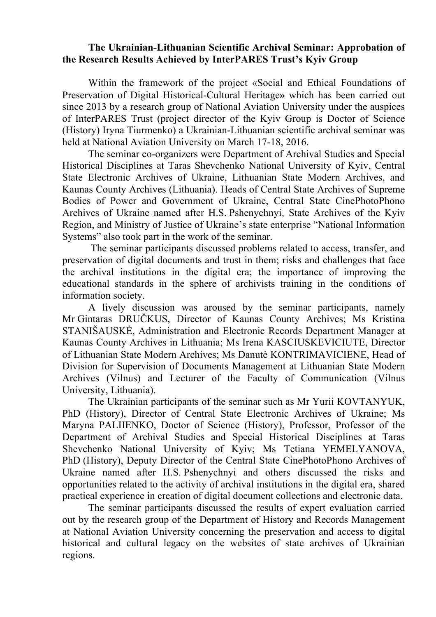## **The Ukrainian-Lithuanian Scientific Archival Seminar: Approbation of the Research Results Achieved by InterPARES Trust's Kyiv Group**

Within the framework of the project «Social and Ethical Foundations of Preservation of Digital Historical-Cultural Heritage**»** which has been carried out since 2013 by a research group of National Aviation University under the auspices of InterPARES Trust (project director of the Kyiv Group is Doctor of Science (History) Iryna Tiurmenko) a Ukrainian-Lithuanian scientific archival seminar was held at National Aviation University on March 17-18, 2016.

The seminar co-organizers were Department of Archival Studies and Special Historical Disciplines at Taras Shevchenko National University of Kyiv, Central State Electronic Archives of Ukraine, Lithuanian State Modern Archives, and Kaunas County Archives (Lithuania). Heads of Central State Archives of Supreme Bodies of Power and Government of Ukraine, Central State CinePhotoPhono Archives of Ukraine named after H.S. Pshenychnyi, State Archives of the Kyiv Region, and Ministry of Justice of Ukraine's state enterprise "National Information Systems" also took part in the work of the seminar.

The seminar participants discussed problems related to access, transfer, and preservation of digital documents and trust in them; risks and challenges that face the archival institutions in the digital era; the importance of improving the educational standards in the sphere of archivists training in the conditions of information society.

A lively discussion was aroused by the seminar participants, namely Mr Gintaras DRUČKUS, Director of Kaunas County Archives; Ms Kristina STANIŠAUSKĖ, Administration and Electronic Records Department Manager at Kaunas County Archives in Lithuania; Ms Irena KASCIUSKEVICIUTE, Director of Lithuanian State Modern Archives; Ms Danutė KONTRIMAVIСIENЕ, Head of Division for Supervision of Documents Management at Lithuanian State Modern Archives (Vilnus) and Lecturer of the Faculty of Communication (Vilnus University, Lithuania).

The Ukrainian participants of the seminar such as Mr Yurii KOVTANYUK, PhD (History), Director of Central State Electronic Archives of Ukraine; Ms Maryna PALIIENKO, Doctor of Science (History), Professor, Professor of the Department of Archival Studies and Special Historical Disciplines at Taras Shevchenko National University of Kyiv; Ms Tetiana YEMELYANOVA, PhD (History), Deputy Director of the Central State CinePhotoPhono Archives of Ukraine named after H.S. Pshenychnyi and others discussed the risks and opportunities related to the activity of archival institutions in the digital era, shared practical experience in creation of digital document collections and electronic data.

The seminar participants discussed the results of expert evaluation carried out by the research group of the Department of History and Records Management at National Aviation University concerning the preservation and access to digital historical and cultural legacy on the websites of state archives of Ukrainian regions.